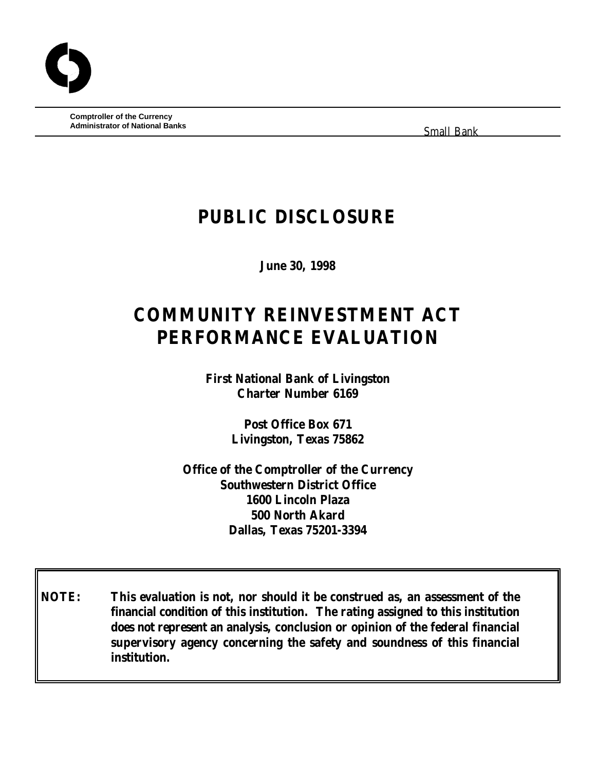**Comptroller of the Currency Administrator of National Banks**

Small Bank

## **PUBLIC DISCLOSURE**

**June 30, 1998**

# **COMMUNITY REINVESTMENT ACT PERFORMANCE EVALUATION**

**First National Bank of Livingston Charter Number 6169**

> **Post Office Box 671 Livingston, Texas 75862**

**Office of the Comptroller of the Currency Southwestern District Office 1600 Lincoln Plaza 500 North Akard Dallas, Texas 75201-3394**

**NOTE: This evaluation is not, nor should it be construed as, an assessment of the financial condition of this institution. The rating assigned to this institution does not represent an analysis, conclusion or opinion of the federal financial supervisory agency concerning the safety and soundness of this financial institution.**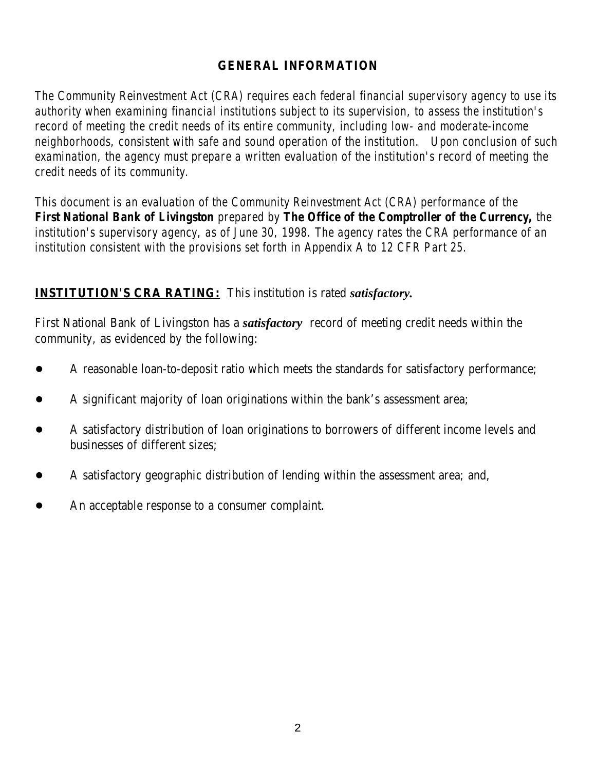#### **GENERAL INFORMATION**

*The Community Reinvestment Act (CRA) requires each federal financial supervisory agency to use its authority when examining financial institutions subject to its supervision, to assess the institution's record of meeting the credit needs of its entire community, including low- and moderate-income neighborhoods, consistent with safe and sound operation of the institution. Upon conclusion of such examination, the agency must prepare a written evaluation of the institution's record of meeting the credit needs of its community.* 

*This document is an evaluation of the Community Reinvestment Act (CRA) performance of the First National Bank of Livingston prepared by The Office of the Comptroller of the Currency, the institution's supervisory agency, as of June 30, 1998. The agency rates the CRA performance of an institution consistent with the provisions set forth in Appendix A to 12 CFR Part 25.*

#### **INSTITUTION'S CRA RATING:** This institution is rated *satisfactory.*

First National Bank of Livingston has a *satisfactory* record of meeting credit needs within the community, as evidenced by the following:

- A reasonable loan-to-deposit ratio which meets the standards for satisfactory performance;
- A significant majority of loan originations within the bank's assessment area;
- ! A satisfactory distribution of loan originations to borrowers of different income levels and businesses of different sizes;
- ! A satisfactory geographic distribution of lending within the assessment area; and,
- An acceptable response to a consumer complaint.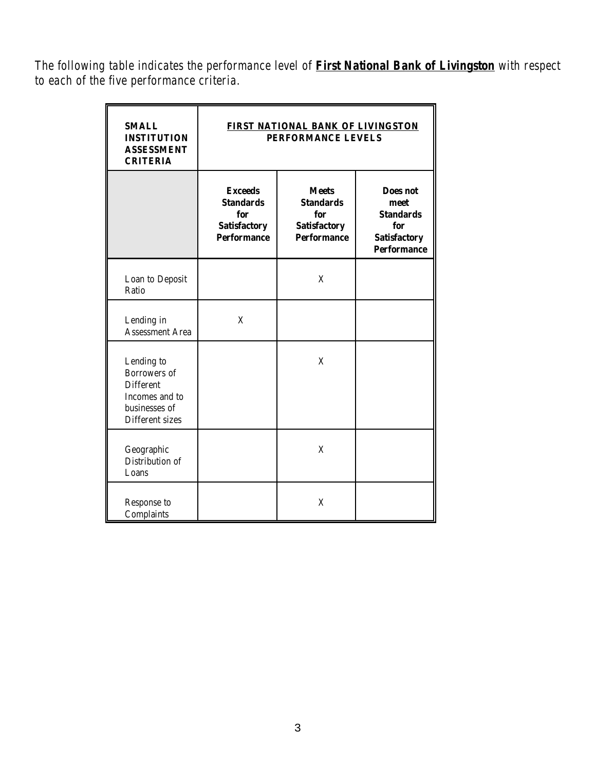*The following table indicates the performance level of First National Bank of Livingston with respect to each of the five performance criteria.*

| <b>SMALL</b><br><b>INSTITUTION</b><br><b>ASSESSMENT</b><br><b>CRITERIA</b>                           | FIRST NATIONAL BANK OF LIVINGSTON<br>PERFORMANCE LEVELS                                |                                                                                      |                                                                                          |  |
|------------------------------------------------------------------------------------------------------|----------------------------------------------------------------------------------------|--------------------------------------------------------------------------------------|------------------------------------------------------------------------------------------|--|
|                                                                                                      | <b>Exceeds</b><br><b>Standards</b><br>for<br><b>Satisfactory</b><br><b>Performance</b> | <b>Meets</b><br><b>Standards</b><br>for<br><b>Satisfactory</b><br><b>Performance</b> | Does not<br>meet<br><b>Standards</b><br>for<br><b>Satisfactory</b><br><b>Performance</b> |  |
| Loan to Deposit<br>Ratio                                                                             |                                                                                        | X                                                                                    |                                                                                          |  |
| Lending in<br><b>Assessment Area</b>                                                                 | X                                                                                      |                                                                                      |                                                                                          |  |
| Lending to<br>Borrowers of<br><b>Different</b><br>Incomes and to<br>businesses of<br>Different sizes |                                                                                        | X                                                                                    |                                                                                          |  |
| Geographic<br>Distribution of<br>Loans                                                               |                                                                                        | X                                                                                    |                                                                                          |  |
| Response to<br>Complaints                                                                            |                                                                                        | X                                                                                    |                                                                                          |  |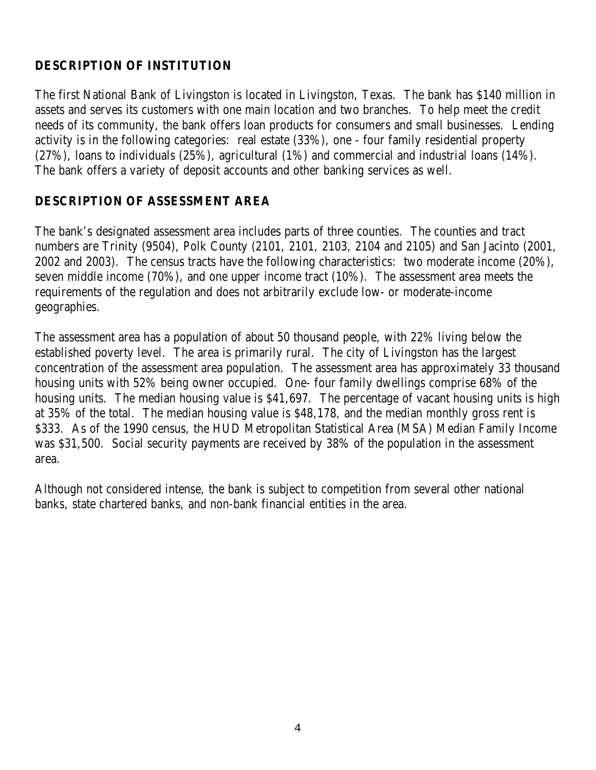## **DESCRIPTION OF INSTITUTION**

The first National Bank of Livingston is located in Livingston, Texas. The bank has \$140 million in assets and serves its customers with one main location and two branches. To help meet the credit needs of its community, the bank offers loan products for consumers and small businesses. Lending activity is in the following categories: real estate (33%), one - four family residential property (27%), loans to individuals (25%), agricultural (1%) and commercial and industrial loans (14%). The bank offers a variety of deposit accounts and other banking services as well.

## **DESCRIPTION OF ASSESSMENT AREA**

The bank's designated assessment area includes parts of three counties. The counties and tract numbers are Trinity (9504), Polk County (2101, 2101, 2103, 2104 and 2105) and San Jacinto (2001, 2002 and 2003). The census tracts have the following characteristics: two moderate income (20%), seven middle income (70%), and one upper income tract (10%). The assessment area meets the requirements of the regulation and does not arbitrarily exclude low- or moderate-income geographies.

The assessment area has a population of about 50 thousand people, with 22% living below the established poverty level. The area is primarily rural. The city of Livingston has the largest concentration of the assessment area population. The assessment area has approximately 33 thousand housing units with 52% being owner occupied. One- four family dwellings comprise 68% of the housing units. The median housing value is \$41,697. The percentage of vacant housing units is high at 35% of the total. The median housing value is \$48,178, and the median monthly gross rent is \$333. As of the 1990 census, the HUD Metropolitan Statistical Area (MSA) Median Family Income was \$31,500. Social security payments are received by 38% of the population in the assessment area.

Although not considered intense, the bank is subject to competition from several other national banks, state chartered banks, and non-bank financial entities in the area.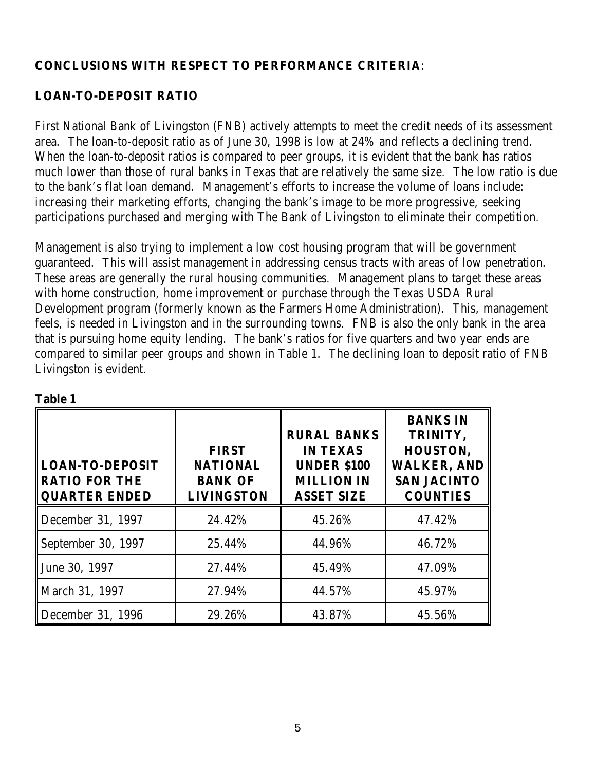#### **CONCLUSIONS WITH RESPECT TO PERFORMANCE CRITERIA**:

## **LOAN-TO-DEPOSIT RATIO**

First National Bank of Livingston (FNB) actively attempts to meet the credit needs of its assessment area. The loan-to-deposit ratio as of June 30, 1998 is low at 24% and reflects a declining trend. When the loan-to-deposit ratios is compared to peer groups, it is evident that the bank has ratios much lower than those of rural banks in Texas that are relatively the same size. The low ratio is due to the bank's flat loan demand. Management's efforts to increase the volume of loans include: increasing their marketing efforts, changing the bank's image to be more progressive, seeking participations purchased and merging with The Bank of Livingston to eliminate their competition.

Management is also trying to implement a low cost housing program that will be government guaranteed. This will assist management in addressing census tracts with areas of low penetration. These areas are generally the rural housing communities. Management plans to target these areas with home construction, home improvement or purchase through the Texas USDA Rural Development program (formerly known as the Farmers Home Administration). This, management feels, is needed in Livingston and in the surrounding towns. FNB is also the only bank in the area that is pursuing home equity lending. The bank's ratios for five quarters and two year ends are compared to similar peer groups and shown in Table 1. The declining loan to deposit ratio of FNB Livingston is evident.

| таріс т                                                            |                                                                        |                                                                                                       |                                                                                                        |
|--------------------------------------------------------------------|------------------------------------------------------------------------|-------------------------------------------------------------------------------------------------------|--------------------------------------------------------------------------------------------------------|
| <b>LOAN-TO-DEPOSIT</b><br><b>RATIO FOR THE</b><br>   QUARTER ENDED | <b>FIRST</b><br><b>NATIONAL</b><br><b>BANK OF</b><br><b>LIVINGSTON</b> | <b>RURAL BANKS</b><br><b>IN TEXAS</b><br><b>UNDER \$100</b><br><b>MILLION IN</b><br><b>ASSET SIZE</b> | <b>BANKS IN</b><br>TRINITY,<br>HOUSTON,<br><b>WALKER, AND</b><br><b>SAN JACINTO</b><br><b>COUNTIES</b> |
| December 31, 1997                                                  | 24.42%                                                                 | 45.26%                                                                                                | 47.42%                                                                                                 |
| September 30, 1997                                                 | 25.44%                                                                 | 44.96%                                                                                                | 46.72%                                                                                                 |
| June 30, 1997                                                      | 27.44%                                                                 | 45.49%                                                                                                | 47.09%                                                                                                 |
| March 31, 1997                                                     | 27.94%                                                                 | 44.57%                                                                                                | 45.97%                                                                                                 |
| December 31, 1996                                                  | 29.26%                                                                 | 43.87%                                                                                                | 45.56%                                                                                                 |

| INI<br>r<br>и |  |
|---------------|--|
|               |  |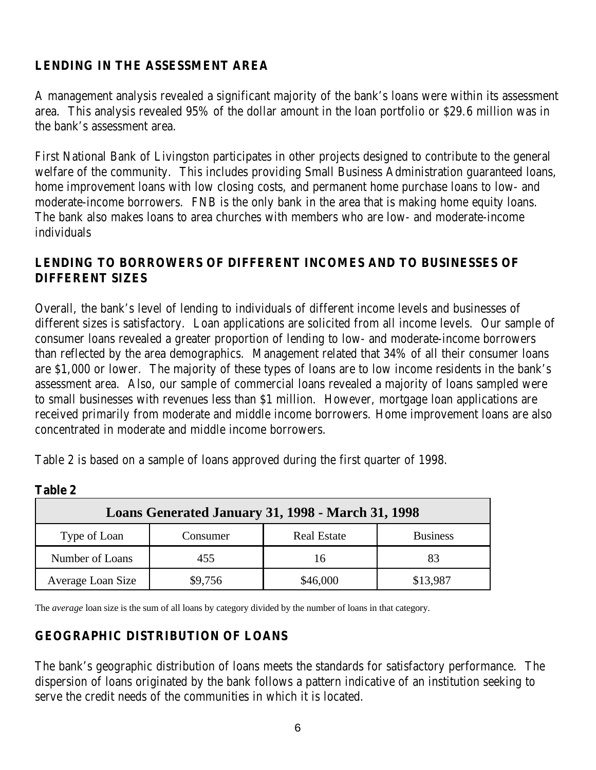## **LENDING IN THE ASSESSMENT AREA**

A management analysis revealed a significant majority of the bank's loans were within its assessment area. This analysis revealed 95% of the dollar amount in the loan portfolio or \$29.6 million was in the bank's assessment area.

First National Bank of Livingston participates in other projects designed to contribute to the general welfare of the community. This includes providing Small Business Administration guaranteed loans, home improvement loans with low closing costs, and permanent home purchase loans to low- and moderate-income borrowers. FNB is the only bank in the area that is making home equity loans. The bank also makes loans to area churches with members who are low- and moderate-income individuals

#### **LENDING TO BORROWERS OF DIFFERENT INCOMES AND TO BUSINESSES OF DIFFERENT SIZES**

Overall, the bank's level of lending to individuals of different income levels and businesses of different sizes is satisfactory. Loan applications are solicited from all income levels. Our sample of consumer loans revealed a greater proportion of lending to low- and moderate-income borrowers than reflected by the area demographics. Management related that 34% of all their consumer loans are \$1,000 or lower. The majority of these types of loans are to low income residents in the bank's assessment area. Also, our sample of commercial loans revealed a majority of loans sampled were to small businesses with revenues less than \$1 million. However, mortgage loan applications are received primarily from moderate and middle income borrowers. Home improvement loans are also concentrated in moderate and middle income borrowers.

Table 2 is based on a sample of loans approved during the first quarter of 1998.

| Loans Generated January 31, 1998 - March 31, 1998 |          |                    |                 |  |  |
|---------------------------------------------------|----------|--------------------|-----------------|--|--|
| Type of Loan                                      | Consumer | <b>Real Estate</b> | <b>Business</b> |  |  |
| Number of Loans                                   | 455      | 16                 |                 |  |  |
| Average Loan Size                                 | \$9,756  | \$46,000           | \$13,987        |  |  |

**Table 2**

The *average* loan size is the sum of all loans by category divided by the number of loans in that category.

#### **GEOGRAPHIC DISTRIBUTION OF LOANS**

The bank's geographic distribution of loans meets the standards for satisfactory performance. The dispersion of loans originated by the bank follows a pattern indicative of an institution seeking to serve the credit needs of the communities in which it is located.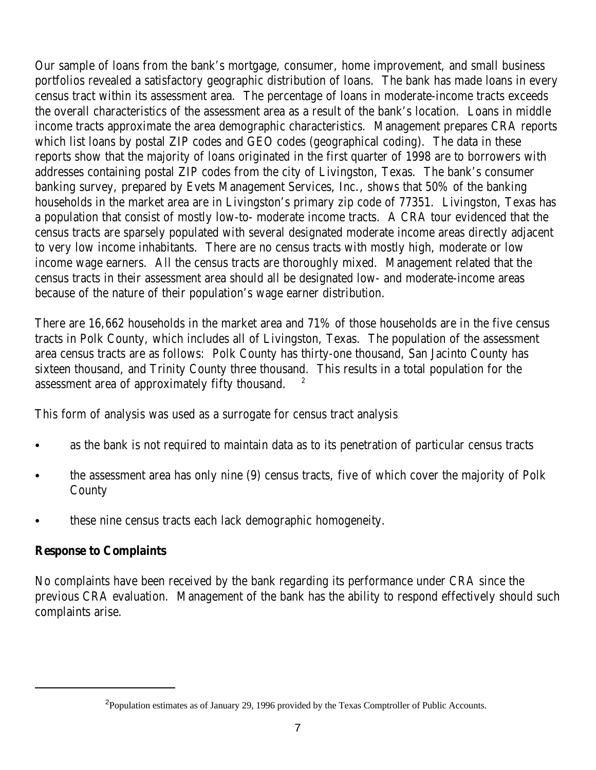Our sample of loans from the bank's mortgage, consumer, home improvement, and small business portfolios revealed a satisfactory geographic distribution of loans. The bank has made loans in every census tract within its assessment area. The percentage of loans in moderate-income tracts exceeds the overall characteristics of the assessment area as a result of the bank's location. Loans in middle income tracts approximate the area demographic characteristics. Management prepares CRA reports which list loans by postal ZIP codes and GEO codes (geographical coding). The data in these reports show that the majority of loans originated in the first quarter of 1998 are to borrowers with addresses containing postal ZIP codes from the city of Livingston, Texas. The bank's consumer banking survey, prepared by Evets Management Services, Inc., shows that 50% of the banking households in the market area are in Livingston's primary zip code of 77351. Livingston, Texas has a population that consist of mostly low-to- moderate income tracts. A CRA tour evidenced that the census tracts are sparsely populated with several designated moderate income areas directly adjacent to very low income inhabitants. There are no census tracts with mostly high, moderate or low income wage earners. All the census tracts are thoroughly mixed. Management related that the census tracts in their assessment area should all be designated low- and moderate-income areas because of the nature of their population's wage earner distribution.

There are 16,662 households in the market area and 71% of those households are in the five census tracts in Polk County, which includes all of Livingston, Texas. The population of the assessment area census tracts are as follows: Polk County has thirty-one thousand, San Jacinto County has sixteen thousand, and Trinity County three thousand. This results in a total population for the assessment area of approximately fifty thousand. 2

This form of analysis was used as a surrogate for census tract analysis

- as the bank is not required to maintain data as to its penetration of particular census tracts
- the assessment area has only nine (9) census tracts, five of which cover the majority of Polk County
- these nine census tracts each lack demographic homogeneity.

#### **Response to Complaints**

No complaints have been received by the bank regarding its performance under CRA since the previous CRA evaluation. Management of the bank has the ability to respond effectively should such complaints arise.

<sup>&</sup>lt;sup>2</sup> Population estimates as of January 29, 1996 provided by the Texas Comptroller of Public Accounts.